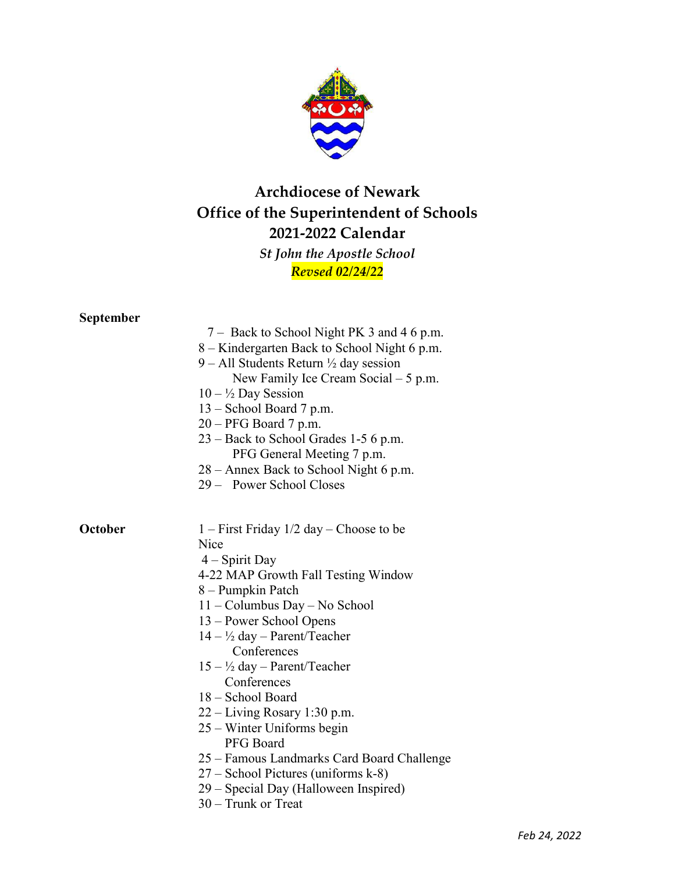

## **Archdiocese of Newark Office of the Superintendent of Schools 2021-2022 Calendar**

*St John the Apostle School Revsed 02/24/22*

## **September**

| $\mathcal{O}$ | 7 – Back to School Night PK 3 and 4 6 p.m.<br>8 – Kindergarten Back to School Night 6 p.m.<br>9 – All Students Return $\frac{1}{2}$ day session<br>New Family Ice Cream Social $-5$ p.m.<br>$10 - \frac{1}{2}$ Day Session<br>13 – School Board 7 p.m.<br>$20 - PFG$ Board 7 p.m.<br>23 – Back to School Grades 1-5 6 p.m.<br>PFG General Meeting 7 p.m.<br>28 – Annex Back to School Night 6 p.m.<br>29 - Power School Closes                                                                                                                      |
|---------------|-----------------------------------------------------------------------------------------------------------------------------------------------------------------------------------------------------------------------------------------------------------------------------------------------------------------------------------------------------------------------------------------------------------------------------------------------------------------------------------------------------------------------------------------------------|
| October       | $1 -$ First Friday $1/2$ day – Choose to be<br>Nice<br>$4 -$ Spirit Day<br>4-22 MAP Growth Fall Testing Window<br>8 – Pumpkin Patch<br>11 - Columbus Day - No School<br>13 - Power School Opens<br>$14 - \frac{1}{2}$ day – Parent/Teacher<br>Conferences<br>$15 - \frac{1}{2}$ day – Parent/Teacher<br>Conferences<br>18 - School Board<br>$22 - Living Rosary 1:30 p.m.$<br>25 - Winter Uniforms begin<br>PFG Board<br>25 – Famous Landmarks Card Board Challenge<br>27 – School Pictures (uniforms k-8)<br>29 – Special Day (Halloween Inspired) |

30 – Trunk or Treat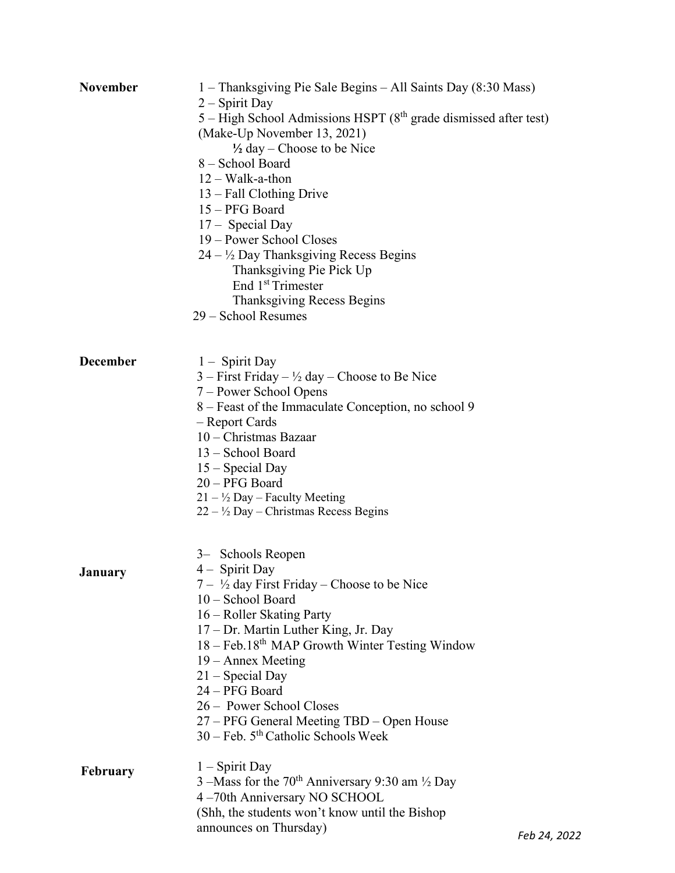| <b>November</b> | 1 – Thanksgiving Pie Sale Begins – All Saints Day (8:30 Mass)<br>2 – Spirit Day<br>$5 - High School$ Admissions HSPT ( $8th$ grade dismissed after test)<br>(Make-Up November 13, 2021)<br>$\frac{1}{2}$ day – Choose to be Nice<br>8 - School Board<br>$12 - Walk-a-thon$<br>13 – Fall Clothing Drive<br>15 – PFG Board<br>17 - Special Day<br>19 – Power School Closes<br>$24 - \frac{1}{2}$ Day Thanksgiving Recess Begins<br>Thanksgiving Pie Pick Up<br>End 1 <sup>st</sup> Trimester<br>Thanksgiving Recess Begins<br>29 - School Resumes |            |
|-----------------|-------------------------------------------------------------------------------------------------------------------------------------------------------------------------------------------------------------------------------------------------------------------------------------------------------------------------------------------------------------------------------------------------------------------------------------------------------------------------------------------------------------------------------------------------|------------|
| <b>December</b> | $1 -$ Spirit Day<br>$3 -$ First Friday $- \frac{1}{2}$ day $-$ Choose to Be Nice<br>7 – Power School Opens<br>8 – Feast of the Immaculate Conception, no school 9<br>- Report Cards<br>10 - Christmas Bazaar<br>13 - School Board<br>$15$ – Special Day<br>20 - PFG Board<br>$21 - \frac{1}{2}$ Day – Faculty Meeting<br>$22 - \frac{1}{2}$ Day – Christmas Recess Begins                                                                                                                                                                       |            |
| <b>January</b>  | 3– Schools Reopen<br>4 - Spirit Day<br>$7 - \frac{1}{2}$ day First Friday – Choose to be Nice<br>10 - School Board<br>16 – Roller Skating Party<br>17 – Dr. Martin Luther King, Jr. Day<br>18 - Feb.18 <sup>th</sup> MAP Growth Winter Testing Window<br>19 – Annex Meeting<br>$21$ – Special Day<br>24 - PFG Board<br>26 - Power School Closes<br>27 – PFG General Meeting TBD – Open House<br>$30$ – Feb. $5th$ Catholic Schools Week                                                                                                         |            |
| February        | $1 -$ Spirit Day<br>3 – Mass for the $70^{th}$ Anniversary 9:30 am $\frac{1}{2}$ Day<br>4-70th Anniversary NO SCHOOL<br>(Shh, the students won't know until the Bishop<br>announces on Thursday)                                                                                                                                                                                                                                                                                                                                                | $50h$ $24$ |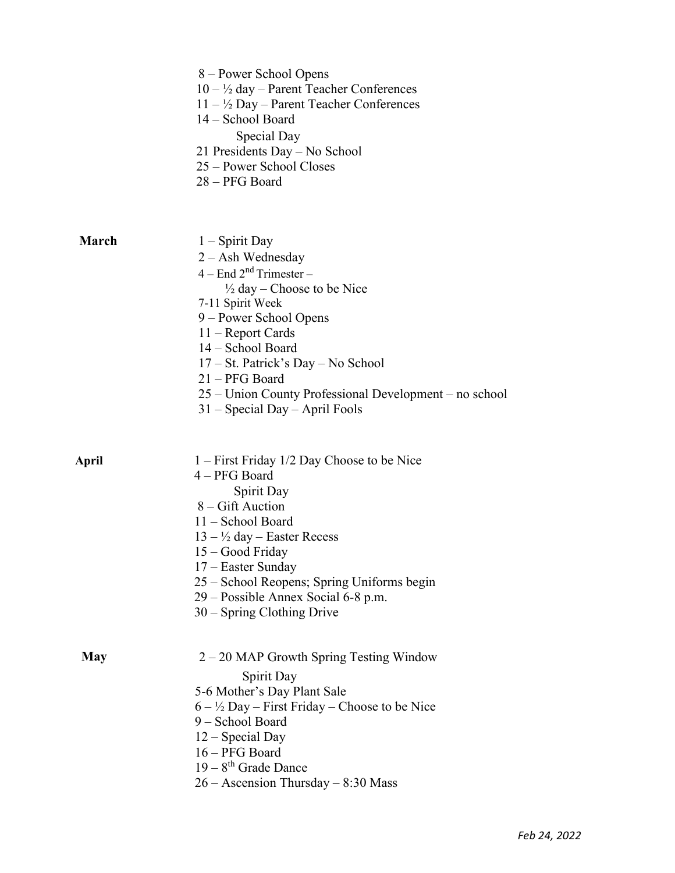|              | 8 – Power School Opens<br>10 - ½ day - Parent Teacher Conferences<br>$11 - \frac{1}{2}$ Day – Parent Teacher Conferences<br>14 - School Board<br>Special Day<br>21 Presidents Day - No School<br>25 – Power School Closes<br>28 - PFG Board                                                                                                                   |
|--------------|---------------------------------------------------------------------------------------------------------------------------------------------------------------------------------------------------------------------------------------------------------------------------------------------------------------------------------------------------------------|
| <b>March</b> | 1 – Spirit Day<br>$2 - Ash$ Wednesday<br>$4 -$ End $2nd$ Trimester –<br>$\frac{1}{2}$ day – Choose to be Nice<br>7-11 Spirit Week<br>9 – Power School Opens<br>$11 -$ Report Cards<br>14 – School Board<br>17 – St. Patrick's Day – No School<br>21 – PFG Board<br>25 – Union County Professional Development – no school<br>$31$ – Special Day – April Fools |
| April        | 1 – First Friday 1/2 Day Choose to be Nice<br>4 - PFG Board<br>Spirit Day<br>$8 -$ Gift Auction<br>11 - School Board<br>$13 - \frac{1}{2}$ day – Easter Recess<br>15 – Good Friday<br>$17$ – Easter Sunday<br>25 – School Reopens; Spring Uniforms begin<br>29 – Possible Annex Social 6-8 p.m.<br>$30 -$ Spring Clothing Drive                               |
| <b>May</b>   | $2 - 20$ MAP Growth Spring Testing Window<br>Spirit Day<br>5-6 Mother's Day Plant Sale<br>$6 - \frac{1}{2}$ Day – First Friday – Choose to be Nice<br>9 - School Board<br>$12$ – Special Day<br>16 – PFG Board<br>$19-8$ <sup>th</sup> Grade Dance<br>$26 -$ Ascension Thursday $-8:30$ Mass                                                                  |